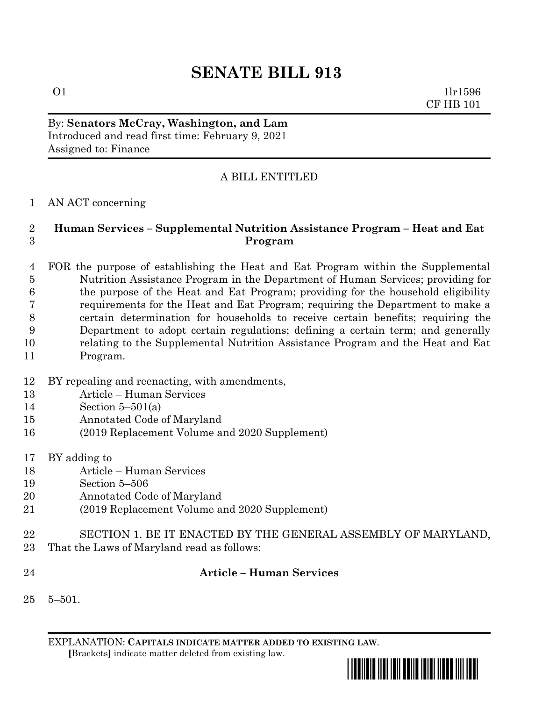# **SENATE BILL 913**

 1lr1596 CF HB 101

By: **Senators McCray, Washington, and Lam** Introduced and read first time: February 9, 2021 Assigned to: Finance

## A BILL ENTITLED

### AN ACT concerning

#### **Human Services – Supplemental Nutrition Assistance Program – Heat and Eat Program**

 FOR the purpose of establishing the Heat and Eat Program within the Supplemental Nutrition Assistance Program in the Department of Human Services; providing for the purpose of the Heat and Eat Program; providing for the household eligibility requirements for the Heat and Eat Program; requiring the Department to make a certain determination for households to receive certain benefits; requiring the Department to adopt certain regulations; defining a certain term; and generally relating to the Supplemental Nutrition Assistance Program and the Heat and Eat Program.

- BY repealing and reenacting, with amendments,
- Article Human Services
- Section 5–501(a)
- Annotated Code of Maryland
- (2019 Replacement Volume and 2020 Supplement)
- BY adding to
- Article Human Services
- Section 5–506
- Annotated Code of Maryland
- (2019 Replacement Volume and 2020 Supplement)
- SECTION 1. BE IT ENACTED BY THE GENERAL ASSEMBLY OF MARYLAND,
- That the Laws of Maryland read as follows:
- 

#### **Article – Human Services**

5–501.

EXPLANATION: **CAPITALS INDICATE MATTER ADDED TO EXISTING LAW**.  **[**Brackets**]** indicate matter deleted from existing law.